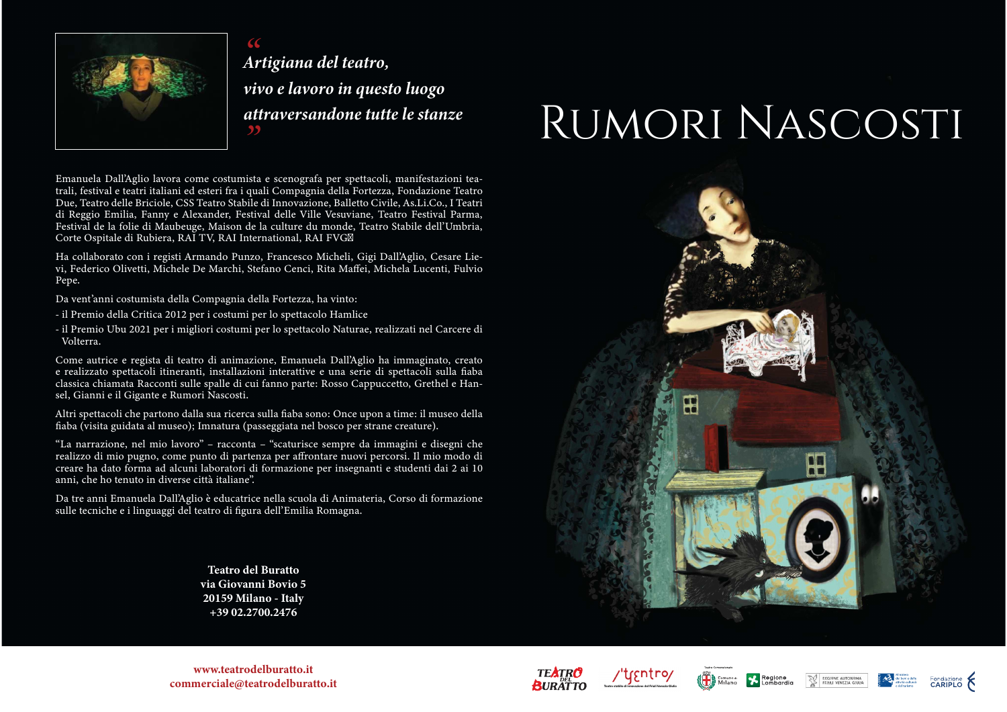

Artigiana del teatro, vivo e lavoro in questo luogo attraversandone tutte le stanze

# RUMORI NASCOSTI

Emanuela Dall'Aglio lavora come costumista e scenografa per spettacoli, manifestazioni teatrali, festival e teatri italiani ed esteri fra i quali Compagnia della Fortezza, Fondazione Teatro Due, Teatro delle Briciole, CSS Teatro Stabile di Innovazione, Balletto Civile, As.Li.Co., I Teatri di Reggio Emilia, Fanny e Alexander, Festival delle Ville Vesuviane, Teatro Festival Parma, Festival de la folie di Maubeuge, Maison de la culture du monde, Teatro Stabile dell'Umbria, Corte Ospitale di Rubiera, RAI TV, RAI International, RAI FVGØ

Ha collaborato con i registi Armando Punzo, Francesco Micheli, Gigi Dall'Aglio, Cesare Lievi, Federico Olivetti, Michele De Marchi, Stefano Cenci, Rita Maffei, Michela Lucenti, Fulvio Pepe.

Da vent'anni costumista della Compagnia della Fortezza, ha vinto:

- il Premio della Critica 2012 per i costumi per lo spettacolo Hamlice
- il Premio Ubu 2021 per i migliori costumi per lo spettacolo Naturae, realizzati nel Carcere di Volterra.

Come autrice e regista di teatro di animazione, Emanuela Dall'Aglio ha immaginato, creato e realizzato spettacoli itineranti, installazioni interattive e una serie di spettacoli sulla fiaba classica chiamata Racconti sulle spalle di cui fanno parte: Rosso Cappuccetto, Grethel e Hansel, Gianni e il Gigante e Rumori Nascosti.

Altri spettacoli che partono dalla sua ricerca sulla fiaba sono: Once upon a time: il museo della fiaba (visita guidata al museo); Imnatura (passeggiata nel bosco per strane creature).

"La narrazione, nel mio lavoro" - racconta - "scaturisce sempre da immagini e disegni che realizzo di mio pugno, come punto di partenza per affrontare nuovi percorsi. Il mio modo di creare ha dato forma ad alcuni laboratori di formazione per insegnanti e studenti dai 2 ai 10 anni, che ho tenuto in diverse città italiane".

Da tre anni Emanuela Dall'Aglio è educatrice nella scuola di Animateria, Corso di formazione sulle tecniche e i linguaggi del teatro di figura dell'Emilia Romagna.

> **Teatro del Buratto** via Giovanni Bovio 5 20159 Milano - Italy +39 02.2700.2476



www.teatrodelburatto.it commerciale@teatrodelburatto.it